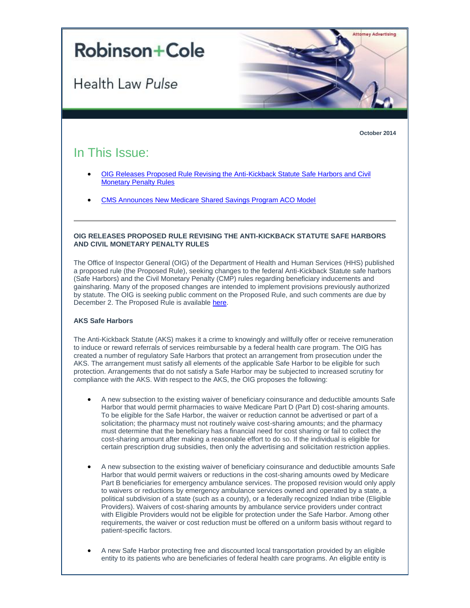

**October 2014**

# In This Issue:

- [OIG Releases Proposed Rule Revising the Anti-Kickback Statute Safe Harbors and Civil](#page-0-0)  [Monetary Penalty Rules](#page-0-0)
- <span id="page-0-0"></span>[CMS Announces New Medicare Shared Savings Program ACO Model](#page-2-0)

### **OIG RELEASES PROPOSED RULE REVISING THE ANTI-KICKBACK STATUTE SAFE HARBORS AND CIVIL MONETARY PENALTY RULES**

The Office of Inspector General (OIG) of the Department of Health and Human Services (HHS) published a proposed rule (the Proposed Rule), seeking changes to the federal Anti-Kickback Statute safe harbors (Safe Harbors) and the Civil Monetary Penalty (CMP) rules regarding beneficiary inducements and gainsharing. Many of the proposed changes are intended to implement provisions previously authorized by statute. The OIG is seeking public comment on the Proposed Rule, and such comments are due by December 2. The Proposed Rule is available [here.](http://t2806904.omkt.co/track.aspx?id=402|2AD478|6F10|19C|80F|0|654|1|6BDDCA0A&destination=http%3a%2f%2fwww.gpo.gov%2ffdsys%2fpkg%2fFR-2014-10-03%2fpdf%2f2014-23182.pdf&dchk=6FD0E9D)

## **AKS Safe Harbors**

The Anti-Kickback Statute (AKS) makes it a crime to knowingly and willfully offer or receive remuneration to induce or reward referrals of services reimbursable by a federal health care program. The OIG has created a number of regulatory Safe Harbors that protect an arrangement from prosecution under the AKS. The arrangement must satisfy all elements of the applicable Safe Harbor to be eligible for such protection. Arrangements that do not satisfy a Safe Harbor may be subjected to increased scrutiny for compliance with the AKS. With respect to the AKS, the OIG proposes the following:

- A new subsection to the existing waiver of beneficiary coinsurance and deductible amounts Safe Harbor that would permit pharmacies to waive Medicare Part D (Part D) cost-sharing amounts. To be eligible for the Safe Harbor, the waiver or reduction cannot be advertised or part of a solicitation; the pharmacy must not routinely waive cost-sharing amounts; and the pharmacy must determine that the beneficiary has a financial need for cost sharing or fail to collect the cost-sharing amount after making a reasonable effort to do so. If the individual is eligible for certain prescription drug subsidies, then only the advertising and solicitation restriction applies.
- A new subsection to the existing waiver of beneficiary coinsurance and deductible amounts Safe Harbor that would permit waivers or reductions in the cost-sharing amounts owed by Medicare Part B beneficiaries for emergency ambulance services. The proposed revision would only apply to waivers or reductions by emergency ambulance services owned and operated by a state, a political subdivision of a state (such as a county), or a federally recognized Indian tribe (Eligible Providers). Waivers of cost-sharing amounts by ambulance service providers under contract with Eligible Providers would not be eligible for protection under the Safe Harbor. Among other requirements, the waiver or cost reduction must be offered on a uniform basis without regard to patient-specific factors.
- A new Safe Harbor protecting free and discounted local transportation provided by an eligible entity to its patients who are beneficiaries of federal health care programs. An eligible entity is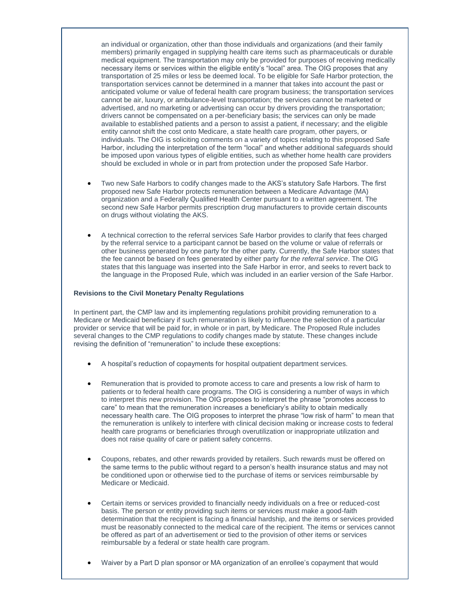an individual or organization, other than those individuals and organizations (and their family members) primarily engaged in supplying health care items such as pharmaceuticals or durable medical equipment. The transportation may only be provided for purposes of receiving medically necessary items or services within the eligible entity's "local" area. The OIG proposes that any transportation of 25 miles or less be deemed local. To be eligible for Safe Harbor protection, the transportation services cannot be determined in a manner that takes into account the past or anticipated volume or value of federal health care program business; the transportation services cannot be air, luxury, or ambulance-level transportation; the services cannot be marketed or advertised, and no marketing or advertising can occur by drivers providing the transportation; drivers cannot be compensated on a per-beneficiary basis; the services can only be made available to established patients and a person to assist a patient, if necessary; and the eligible entity cannot shift the cost onto Medicare, a state health care program, other payers, or individuals. The OIG is soliciting comments on a variety of topics relating to this proposed Safe Harbor, including the interpretation of the term "local" and whether additional safeguards should be imposed upon various types of eligible entities, such as whether home health care providers should be excluded in whole or in part from protection under the proposed Safe Harbor.

- Two new Safe Harbors to codify changes made to the AKS's statutory Safe Harbors. The first proposed new Safe Harbor protects remuneration between a Medicare Advantage (MA) organization and a Federally Qualified Health Center pursuant to a written agreement. The second new Safe Harbor permits prescription drug manufacturers to provide certain discounts on drugs without violating the AKS.
- A technical correction to the referral services Safe Harbor provides to clarify that fees charged by the referral service to a participant cannot be based on the volume or value of referrals or other business generated by one party for the other party. Currently, the Safe Harbor states that the fee cannot be based on fees generated by either party *for the referral service*. The OIG states that this language was inserted into the Safe Harbor in error, and seeks to revert back to the language in the Proposed Rule, which was included in an earlier version of the Safe Harbor.

#### **Revisions to the Civil Monetary Penalty Regulations**

In pertinent part, the CMP law and its implementing regulations prohibit providing remuneration to a Medicare or Medicaid beneficiary if such remuneration is likely to influence the selection of a particular provider or service that will be paid for, in whole or in part, by Medicare. The Proposed Rule includes several changes to the CMP regulations to codify changes made by statute. These changes include revising the definition of "remuneration" to include these exceptions:

- A hospital's reduction of copayments for hospital outpatient department services.
- Remuneration that is provided to promote access to care and presents a low risk of harm to patients or to federal health care programs. The OIG is considering a number of ways in which to interpret this new provision. The OIG proposes to interpret the phrase "promotes access to care" to mean that the remuneration increases a beneficiary's ability to obtain medically necessary health care. The OIG proposes to interpret the phrase "low risk of harm" to mean that the remuneration is unlikely to interfere with clinical decision making or increase costs to federal health care programs or beneficiaries through overutilization or inappropriate utilization and does not raise quality of care or patient safety concerns.
- Coupons, rebates, and other rewards provided by retailers. Such rewards must be offered on the same terms to the public without regard to a person's health insurance status and may not be conditioned upon or otherwise tied to the purchase of items or services reimbursable by Medicare or Medicaid.
- Certain items or services provided to financially needy individuals on a free or reduced-cost basis. The person or entity providing such items or services must make a good-faith determination that the recipient is facing a financial hardship, and the items or services provided must be reasonably connected to the medical care of the recipient. The items or services cannot be offered as part of an advertisement or tied to the provision of other items or services reimbursable by a federal or state health care program.
- Waiver by a Part D plan sponsor or MA organization of an enrollee's copayment that would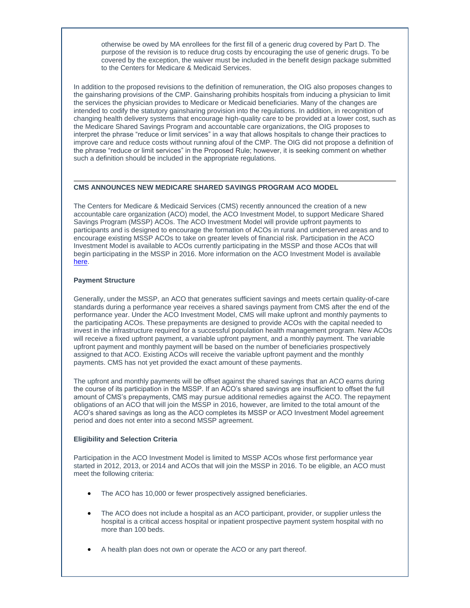otherwise be owed by MA enrollees for the first fill of a generic drug covered by Part D. The purpose of the revision is to reduce drug costs by encouraging the use of generic drugs. To be covered by the exception, the waiver must be included in the benefit design package submitted to the Centers for Medicare & Medicaid Services.

In addition to the proposed revisions to the definition of remuneration, the OIG also proposes changes to the gainsharing provisions of the CMP. Gainsharing prohibits hospitals from inducing a physician to limit the services the physician provides to Medicare or Medicaid beneficiaries. Many of the changes are intended to codify the statutory gainsharing provision into the regulations. In addition, in recognition of changing health delivery systems that encourage high-quality care to be provided at a lower cost, such as the Medicare Shared Savings Program and accountable care organizations, the OIG proposes to interpret the phrase "reduce or limit services" in a way that allows hospitals to change their practices to improve care and reduce costs without running afoul of the CMP. The OIG did not propose a definition of the phrase "reduce or limit services" in the Proposed Rule; however, it is seeking comment on whether such a definition should be included in the appropriate regulations.

#### <span id="page-2-0"></span>**CMS ANNOUNCES NEW MEDICARE SHARED SAVINGS PROGRAM ACO MODEL**

The Centers for Medicare & Medicaid Services (CMS) recently announced the creation of a new accountable care organization (ACO) model, the ACO Investment Model, to support Medicare Shared Savings Program (MSSP) ACOs. The ACO Investment Model will provide upfront payments to participants and is designed to encourage the formation of ACOs in rural and underserved areas and to encourage existing MSSP ACOs to take on greater levels of financial risk. Participation in the ACO Investment Model is available to ACOs currently participating in the MSSP and those ACOs that will begin participating in the MSSP in 2016. More information on the ACO Investment Model is available [here.](http://t2806904.omkt.co/track.aspx?id=402|2AD478|6F10|19C|80F|0|655|1|6BDDCA0A&destination=http%3a%2f%2finnovation.cms.gov%2finitiatives%2fACO-Investment-Model%2f&dchk=633DFBFB)

## **Payment Structure**

Generally, under the MSSP, an ACO that generates sufficient savings and meets certain quality-of-care standards during a performance year receives a shared savings payment from CMS after the end of the performance year. Under the ACO Investment Model, CMS will make upfront and monthly payments to the participating ACOs. These prepayments are designed to provide ACOs with the capital needed to invest in the infrastructure required for a successful population health management program. New ACOs will receive a fixed upfront payment, a variable upfront payment, and a monthly payment. The variable upfront payment and monthly payment will be based on the number of beneficiaries prospectively assigned to that ACO. Existing ACOs will receive the variable upfront payment and the monthly payments. CMS has not yet provided the exact amount of these payments.

The upfront and monthly payments will be offset against the shared savings that an ACO earns during the course of its participation in the MSSP. If an ACO's shared savings are insufficient to offset the full amount of CMS's prepayments, CMS may pursue additional remedies against the ACO. The repayment obligations of an ACO that will join the MSSP in 2016, however, are limited to the total amount of the ACO's shared savings as long as the ACO completes its MSSP or ACO Investment Model agreement period and does not enter into a second MSSP agreement.

# **Eligibility and Selection Criteria**

Participation in the ACO Investment Model is limited to MSSP ACOs whose first performance year started in 2012, 2013, or 2014 and ACOs that will join the MSSP in 2016. To be eligible, an ACO must meet the following criteria:

- The ACO has 10,000 or fewer prospectively assigned beneficiaries.
- The ACO does not include a hospital as an ACO participant, provider, or supplier unless the hospital is a critical access hospital or inpatient prospective payment system hospital with no more than 100 beds.
- A health plan does not own or operate the ACO or any part thereof.